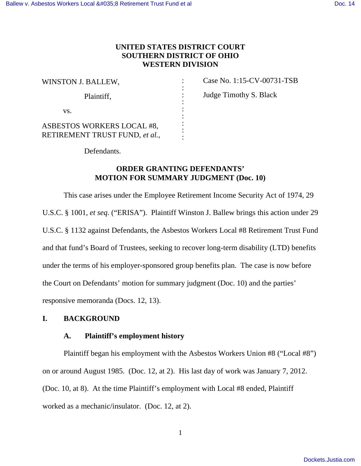# **UNITED STATES DISTRICT COURT SOUTHERN DISTRICT OF OHIO WESTERN DIVISION**

| WINSTON J. BALLEW,                                           |  |
|--------------------------------------------------------------|--|
| Plaintiff,                                                   |  |
| VS.                                                          |  |
| ASBESTOS WORKERS LOCAL #8,<br>RETIREMENT TRUST FUND, et al., |  |

Case No. 1:15-CV-00731-TSB Judge Timothy S. Black

Defendants.

# **ORDER GRANTING DEFENDANTS' MOTION FOR SUMMARY JUDGMENT (Doc. 10)**

 This case arises under the Employee Retirement Income Security Act of 1974, 29 U.S.C. § 1001, *et seq*. ("ERISA"). Plaintiff Winston J. Ballew brings this action under 29 U.S.C. § 1132 against Defendants, the Asbestos Workers Local #8 Retirement Trust Fund and that fund's Board of Trustees, seeking to recover long-term disability (LTD) benefits under the terms of his employer-sponsored group benefits plan. The case is now before the Court on Defendants' motion for summary judgment (Doc. 10) and the parties' responsive memoranda (Docs. 12, 13).

# **I. BACKGROUND**

## **A. Plaintiff's employment history**

 Plaintiff began his employment with the Asbestos Workers Union #8 ("Local #8") on or around August 1985. (Doc. 12, at 2). His last day of work was January 7, 2012. (Doc. 10, at 8). At the time Plaintiff's employment with Local #8 ended, Plaintiff worked as a mechanic/insulator. (Doc. 12, at 2).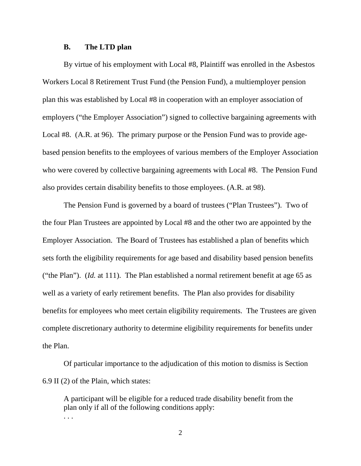#### **B. The LTD plan**

 By virtue of his employment with Local #8, Plaintiff was enrolled in the Asbestos Workers Local 8 Retirement Trust Fund (the Pension Fund), a multiemployer pension plan this was established by Local #8 in cooperation with an employer association of employers ("the Employer Association") signed to collective bargaining agreements with Local #8. (A.R. at 96). The primary purpose or the Pension Fund was to provide agebased pension benefits to the employees of various members of the Employer Association who were covered by collective bargaining agreements with Local #8. The Pension Fund also provides certain disability benefits to those employees. (A.R. at 98).

 The Pension Fund is governed by a board of trustees ("Plan Trustees"). Two of the four Plan Trustees are appointed by Local #8 and the other two are appointed by the Employer Association. The Board of Trustees has established a plan of benefits which sets forth the eligibility requirements for age based and disability based pension benefits ("the Plan"). (*Id.* at 111). The Plan established a normal retirement benefit at age 65 as well as a variety of early retirement benefits. The Plan also provides for disability benefits for employees who meet certain eligibility requirements. The Trustees are given complete discretionary authority to determine eligibility requirements for benefits under the Plan.

 Of particular importance to the adjudication of this motion to dismiss is Section 6.9 II (2) of the Plain, which states:

A participant will be eligible for a reduced trade disability benefit from the plan only if all of the following conditions apply: . . .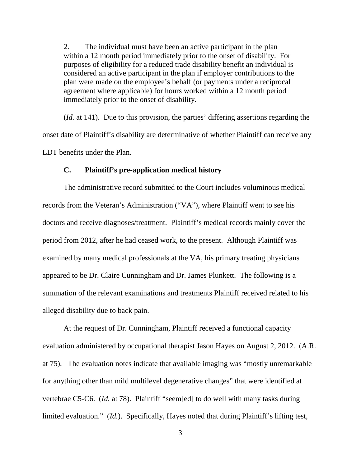2. The individual must have been an active participant in the plan within a 12 month period immediately prior to the onset of disability. For purposes of eligibility for a reduced trade disability benefit an individual is considered an active participant in the plan if employer contributions to the plan were made on the employee's behalf (or payments under a reciprocal agreement where applicable) for hours worked within a 12 month period immediately prior to the onset of disability.

 (*Id.* at 141). Due to this provision, the parties' differing assertions regarding the onset date of Plaintiff's disability are determinative of whether Plaintiff can receive any LDT benefits under the Plan.

#### **C. Plaintiff's pre-application medical history**

 The administrative record submitted to the Court includes voluminous medical records from the Veteran's Administration ("VA"), where Plaintiff went to see his doctors and receive diagnoses/treatment. Plaintiff's medical records mainly cover the period from 2012, after he had ceased work, to the present. Although Plaintiff was examined by many medical professionals at the VA, his primary treating physicians appeared to be Dr. Claire Cunningham and Dr. James Plunkett. The following is a summation of the relevant examinations and treatments Plaintiff received related to his alleged disability due to back pain.

 At the request of Dr. Cunningham, Plaintiff received a functional capacity evaluation administered by occupational therapist Jason Hayes on August 2, 2012. (A.R. at 75). The evaluation notes indicate that available imaging was "mostly unremarkable for anything other than mild multilevel degenerative changes" that were identified at vertebrae C5-C6. (*Id.* at 78). Plaintiff "seem[ed] to do well with many tasks during limited evaluation." (*Id.*). Specifically, Hayes noted that during Plaintiff's lifting test,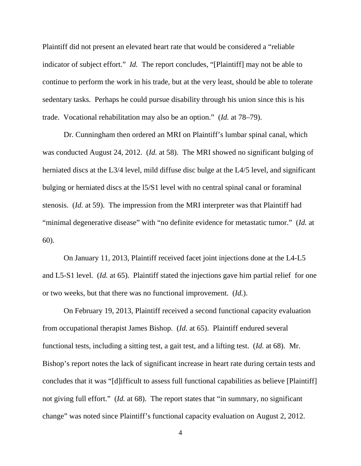Plaintiff did not present an elevated heart rate that would be considered a "reliable indicator of subject effort." *Id.* The report concludes, "[Plaintiff] may not be able to continue to perform the work in his trade, but at the very least, should be able to tolerate sedentary tasks. Perhaps he could pursue disability through his union since this is his trade. Vocational rehabilitation may also be an option." (*Id.* at 78–79).

 Dr. Cunningham then ordered an MRI on Plaintiff's lumbar spinal canal, which was conducted August 24, 2012. (*Id.* at 58). The MRI showed no significant bulging of herniated discs at the L3/4 level, mild diffuse disc bulge at the L4/5 level, and significant bulging or herniated discs at the l5/S1 level with no central spinal canal or foraminal stenosis. (*Id.* at 59). The impression from the MRI interpreter was that Plaintiff had "minimal degenerative disease" with "no definite evidence for metastatic tumor." (*Id.* at 60).

 On January 11, 2013, Plaintiff received facet joint injections done at the L4-L5 and L5-S1 level. (*Id.* at 65). Plaintiff stated the injections gave him partial relief for one or two weeks, but that there was no functional improvement. (*Id.*).

 On February 19, 2013, Plaintiff received a second functional capacity evaluation from occupational therapist James Bishop. (*Id.* at 65). Plaintiff endured several functional tests, including a sitting test, a gait test, and a lifting test. (*Id.* at 68). Mr. Bishop's report notes the lack of significant increase in heart rate during certain tests and concludes that it was "[d]ifficult to assess full functional capabilities as believe [Plaintiff] not giving full effort." (*Id.* at 68). The report states that "in summary, no significant change" was noted since Plaintiff's functional capacity evaluation on August 2, 2012.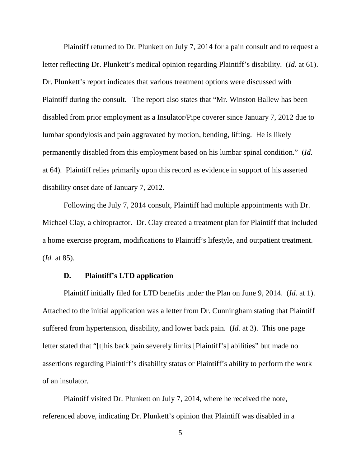Plaintiff returned to Dr. Plunkett on July 7, 2014 for a pain consult and to request a letter reflecting Dr. Plunkett's medical opinion regarding Plaintiff's disability. (*Id.* at 61). Dr. Plunkett's report indicates that various treatment options were discussed with Plaintiff during the consult. The report also states that "Mr. Winston Ballew has been disabled from prior employment as a Insulator/Pipe coverer since January 7, 2012 due to lumbar spondylosis and pain aggravated by motion, bending, lifting. He is likely permanently disabled from this employment based on his lumbar spinal condition." (*Id.*  at 64). Plaintiff relies primarily upon this record as evidence in support of his asserted disability onset date of January 7, 2012.

 Following the July 7, 2014 consult, Plaintiff had multiple appointments with Dr. Michael Clay, a chiropractor. Dr. Clay created a treatment plan for Plaintiff that included a home exercise program, modifications to Plaintiff's lifestyle, and outpatient treatment. (*Id.* at 85).

### **D. Plaintiff's LTD application**

 Plaintiff initially filed for LTD benefits under the Plan on June 9, 2014. (*Id.* at 1). Attached to the initial application was a letter from Dr. Cunningham stating that Plaintiff suffered from hypertension, disability, and lower back pain. (*Id.* at 3). This one page letter stated that "[t]his back pain severely limits [Plaintiff's] abilities" but made no assertions regarding Plaintiff's disability status or Plaintiff's ability to perform the work of an insulator.

 Plaintiff visited Dr. Plunkett on July 7, 2014, where he received the note, referenced above, indicating Dr. Plunkett's opinion that Plaintiff was disabled in a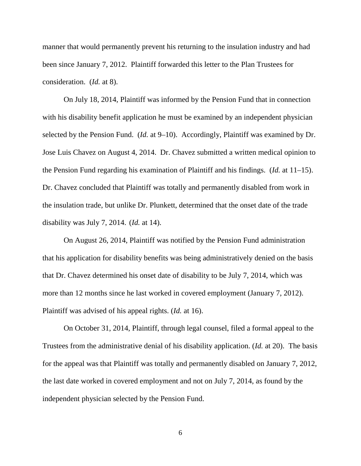manner that would permanently prevent his returning to the insulation industry and had been since January 7, 2012. Plaintiff forwarded this letter to the Plan Trustees for consideration. (*Id.* at 8).

 On July 18, 2014, Plaintiff was informed by the Pension Fund that in connection with his disability benefit application he must be examined by an independent physician selected by the Pension Fund. (*Id.* at 9–10). Accordingly, Plaintiff was examined by Dr. Jose Luis Chavez on August 4, 2014. Dr. Chavez submitted a written medical opinion to the Pension Fund regarding his examination of Plaintiff and his findings. (*Id.* at 11–15). Dr. Chavez concluded that Plaintiff was totally and permanently disabled from work in the insulation trade, but unlike Dr. Plunkett, determined that the onset date of the trade disability was July 7, 2014. (*Id.* at 14).

 On August 26, 2014, Plaintiff was notified by the Pension Fund administration that his application for disability benefits was being administratively denied on the basis that Dr. Chavez determined his onset date of disability to be July 7, 2014, which was more than 12 months since he last worked in covered employment (January 7, 2012). Plaintiff was advised of his appeal rights. (*Id.* at 16).

 On October 31, 2014, Plaintiff, through legal counsel, filed a formal appeal to the Trustees from the administrative denial of his disability application. (*Id.* at 20). The basis for the appeal was that Plaintiff was totally and permanently disabled on January 7, 2012, the last date worked in covered employment and not on July 7, 2014, as found by the independent physician selected by the Pension Fund.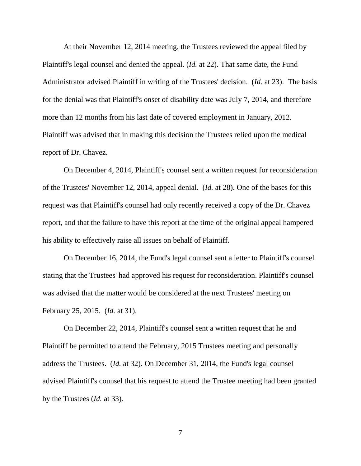At their November 12, 2014 meeting, the Trustees reviewed the appeal filed by Plaintiff's legal counsel and denied the appeal. (*Id.* at 22). That same date, the Fund Administrator advised Plaintiff in writing of the Trustees' decision. (*Id.* at 23). The basis for the denial was that Plaintiff's onset of disability date was July 7, 2014, and therefore more than 12 months from his last date of covered employment in January, 2012. Plaintiff was advised that in making this decision the Trustees relied upon the medical report of Dr. Chavez.

 On December 4, 2014, Plaintiff's counsel sent a written request for reconsideration of the Trustees' November 12, 2014, appeal denial. (*Id.* at 28). One of the bases for this request was that Plaintiff's counsel had only recently received a copy of the Dr. Chavez report, and that the failure to have this report at the time of the original appeal hampered his ability to effectively raise all issues on behalf of Plaintiff.

 On December 16, 2014, the Fund's legal counsel sent a letter to Plaintiff's counsel stating that the Trustees' had approved his request for reconsideration. Plaintiff's counsel was advised that the matter would be considered at the next Trustees' meeting on February 25, 2015. (*Id.* at 31).

 On December 22, 2014, Plaintiff's counsel sent a written request that he and Plaintiff be permitted to attend the February, 2015 Trustees meeting and personally address the Trustees. (*Id.* at 32). On December 31, 2014, the Fund's legal counsel advised Plaintiff's counsel that his request to attend the Trustee meeting had been granted by the Trustees (*Id.* at 33).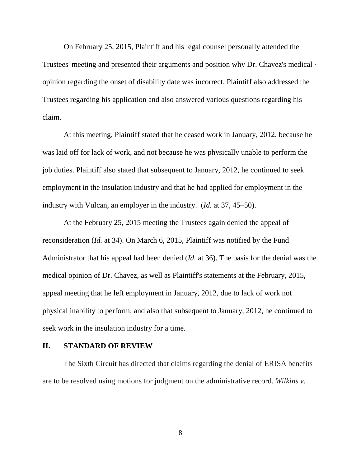On February 25, 2015, Plaintiff and his legal counsel personally attended the Trustees' meeting and presented their arguments and position why Dr. Chavez's medical · opinion regarding the onset of disability date was incorrect. Plaintiff also addressed the Trustees regarding his application and also answered various questions regarding his claim.

 At this meeting, Plaintiff stated that he ceased work in January, 2012, because he was laid off for lack of work, and not because he was physically unable to perform the job duties. Plaintiff also stated that subsequent to January, 2012, he continued to seek employment in the insulation industry and that he had applied for employment in the industry with Vulcan, an employer in the industry. (*Id.* at 37, 45–50).

 At the February 25, 2015 meeting the Trustees again denied the appeal of reconsideration (*Id.* at 34). On March 6, 2015, Plaintiff was notified by the Fund Administrator that his appeal had been denied (*Id.* at 36). The basis for the denial was the medical opinion of Dr. Chavez, as well as Plaintiff's statements at the February, 2015, appeal meeting that he left employment in January, 2012, due to lack of work not physical inability to perform; and also that subsequent to January, 2012, he continued to seek work in the insulation industry for a time.

### **II. STANDARD OF REVIEW**

The Sixth Circuit has directed that claims regarding the denial of ERISA benefits are to be resolved using motions for judgment on the administrative record. *Wilkins v.*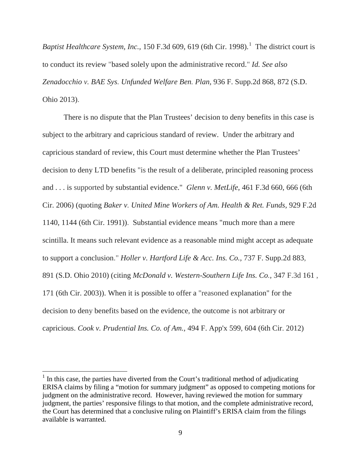Baptist *Healthcare System, Inc.,* 150 F.3d 609, 619 (6th Cir. 1998).<sup>1</sup> The district court is to conduct its review "based solely upon the administrative record." *Id. See also Zenadocchio v. BAE Sys. Unfunded Welfare Ben. Plan,* 936 F. Supp.2d 868, 872 (S.D. Ohio 2013).

 There is no dispute that the Plan Trustees' decision to deny benefits in this case is subject to the arbitrary and capricious standard of review. Under the arbitrary and capricious standard of review, this Court must determine whether the Plan Trustees' decision to deny LTD benefits "is the result of a deliberate, principled reasoning process and . . . is supported by substantial evidence." *Glenn v. MetLife,* 461 F.3d 660, 666 (6th Cir. 2006) (quoting *Baker v. United Mine Workers of Am. Health & Ret. Funds,* 929 F.2d 1140, 1144 (6th Cir. 1991)). Substantial evidence means "much more than a mere scintilla. It means such relevant evidence as a reasonable mind might accept as adequate to support a conclusion." *Holler v. Hartford Life & Acc. Ins. Co.,* 737 F. Supp.2d 883, 891 (S.D. Ohio 2010) (citing *McDonald v. Western-Southern Life Ins. Co.,* 347 F.3d 161 , 171 (6th Cir. 2003)). When it is possible to offer a "reasoned explanation" for the decision to deny benefits based on the evidence, the outcome is not arbitrary or capricious. *Cook v. Prudential Ins. Co. of Am.,* 494 F. App'x 599, 604 (6th Cir. 2012)

<sup>&</sup>lt;sup>1</sup> In this case, the parties have diverted from the Court's traditional method of adjudicating ERISA claims by filing a "motion for summary judgment" as opposed to competing motions for judgment on the administrative record. However, having reviewed the motion for summary judgment, the parties' responsive filings to that motion, and the complete administrative record, the Court has determined that a conclusive ruling on Plaintiff's ERISA claim from the filings available is warranted.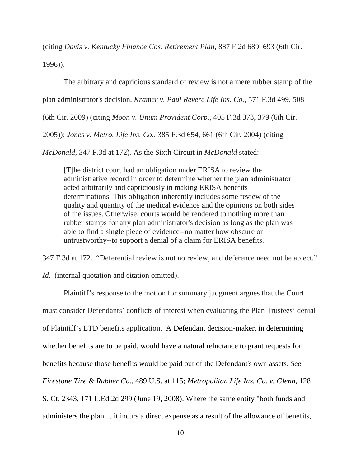(citing *Davis v. Kentucky Finance Cos. Retirement Plan,* 887 F.2d 689, 693 (6th Cir. 1996)).

 The arbitrary and capricious standard of review is not a mere rubber stamp of the plan administrator's decision. *Kramer v. Paul Revere Life Ins. Co.,* 571 F.3d 499, 508 (6th Cir. 2009) (citing *Moon v. Unum Provident Corp.,* 405 F.3d 373, 379 (6th Cir. 2005)); *Jones v. Metro. Life Ins. Co.,* 385 F.3d 654, 661 (6th Cir. 2004) (citing

*McDonald,* 347 F.3d at 172). As the Sixth Circuit in *McDonald* stated:

[T]he district court had an obligation under ERISA to review the administrative record in order to determine whether the plan administrator acted arbitrarily and capriciously in making ERISA benefits determinations. This obligation inherently includes some review of the quality and quantity of the medical evidence and the opinions on both sides of the issues. Otherwise, courts would be rendered to nothing more than rubber stamps for any plan administrator's decision as long as the plan was able to find a single piece of evidence--no matter how obscure or untrustworthy--to support a denial of a claim for ERISA benefits.

347 F.3d at 172. "Deferential review is not no review, and deference need not be abject."

*Id.* (internal quotation and citation omitted).

 Plaintiff's response to the motion for summary judgment argues that the Court must consider Defendants' conflicts of interest when evaluating the Plan Trustees' denial of Plaintiff's LTD benefits application. A Defendant decision-maker, in determining whether benefits are to be paid, would have a natural reluctance to grant requests for benefits because those benefits would be paid out of the Defendant's own assets. *See Firestone Tire & Rubber Co.,* 489 U.S. at 115; *Metropolitan Life Ins. Co. v. Glenn,* 128 S. Ct. 2343, 171 L.Ed.2d 299 (June 19, 2008). Where the same entity "both funds and administers the plan ... it incurs a direct expense as a result of the allowance of benefits,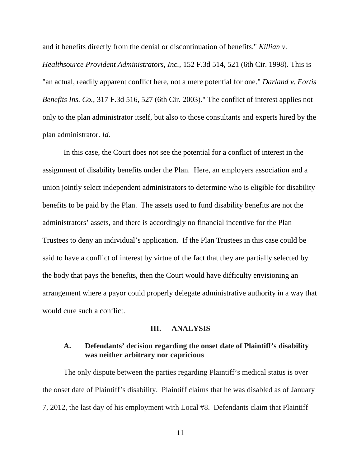and it benefits directly from the denial or discontinuation of benefits." *Killian v.* 

*Healthsource Provident Administrators, Inc.,* 152 F.3d 514, 521 (6th Cir. 1998). This is "an actual, readily apparent conflict here, not a mere potential for one." *Darland v. Fortis Benefits Ins. Co.,* 317 F.3d 516, 527 (6th Cir. 2003)." The conflict of interest applies not only to the plan administrator itself, but also to those consultants and experts hired by the plan administrator. *Id.* 

 In this case, the Court does not see the potential for a conflict of interest in the assignment of disability benefits under the Plan. Here, an employers association and a union jointly select independent administrators to determine who is eligible for disability benefits to be paid by the Plan. The assets used to fund disability benefits are not the administrators' assets, and there is accordingly no financial incentive for the Plan Trustees to deny an individual's application. If the Plan Trustees in this case could be said to have a conflict of interest by virtue of the fact that they are partially selected by the body that pays the benefits, then the Court would have difficulty envisioning an arrangement where a payor could properly delegate administrative authority in a way that would cure such a conflict.

### **III. ANALYSIS**

## **A. Defendants' decision regarding the onset date of Plaintiff's disability was neither arbitrary nor capricious**

The only dispute between the parties regarding Plaintiff's medical status is over the onset date of Plaintiff's disability. Plaintiff claims that he was disabled as of January 7, 2012, the last day of his employment with Local #8. Defendants claim that Plaintiff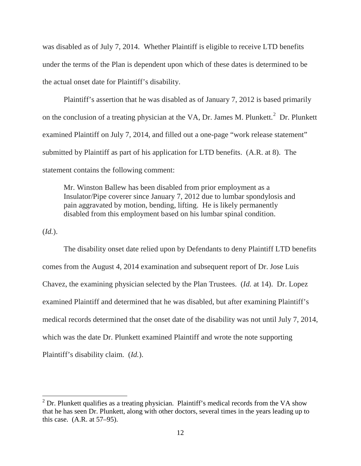was disabled as of July 7, 2014. Whether Plaintiff is eligible to receive LTD benefits under the terms of the Plan is dependent upon which of these dates is determined to be the actual onset date for Plaintiff's disability.

 Plaintiff's assertion that he was disabled as of January 7, 2012 is based primarily on the conclusion of a treating physician at the VA, Dr. James M. Plunkett. $^2$  Dr. Plunkett examined Plaintiff on July 7, 2014, and filled out a one-page "work release statement" submitted by Plaintiff as part of his application for LTD benefits. (A.R. at 8). The statement contains the following comment:

Mr. Winston Ballew has been disabled from prior employment as a Insulator/Pipe coverer since January 7, 2012 due to lumbar spondylosis and pain aggravated by motion, bending, lifting. He is likely permanently disabled from this employment based on his lumbar spinal condition.

(*Id.*).

 The disability onset date relied upon by Defendants to deny Plaintiff LTD benefits comes from the August 4, 2014 examination and subsequent report of Dr. Jose Luis Chavez, the examining physician selected by the Plan Trustees. (*Id.* at 14). Dr. Lopez examined Plaintiff and determined that he was disabled, but after examining Plaintiff's medical records determined that the onset date of the disability was not until July 7, 2014, which was the date Dr. Plunkett examined Plaintiff and wrote the note supporting Plaintiff's disability claim. (*Id.*).

<sup>&</sup>lt;sup>2</sup> Dr. Plunkett qualifies as a treating physician. Plaintiff's medical records from the VA show that he has seen Dr. Plunkett, along with other doctors, several times in the years leading up to this case. (A.R. at 57–95).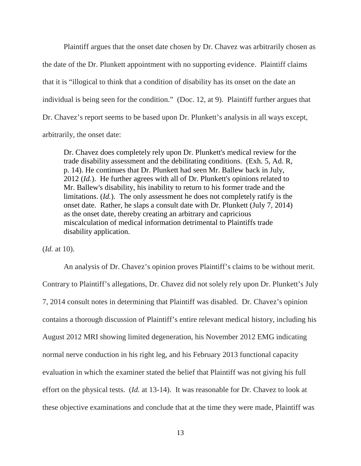Plaintiff argues that the onset date chosen by Dr. Chavez was arbitrarily chosen as the date of the Dr. Plunkett appointment with no supporting evidence. Plaintiff claims that it is "illogical to think that a condition of disability has its onset on the date an individual is being seen for the condition." (Doc. 12, at 9). Plaintiff further argues that Dr. Chavez's report seems to be based upon Dr. Plunkett's analysis in all ways except, arbitrarily, the onset date:

Dr. Chavez does completely rely upon Dr. Plunkett's medical review for the trade disability assessment and the debilitating conditions. (Exh. 5, Ad. R, p. 14). He continues that Dr. Plunkett had seen Mr. Ballew back in July, 2012 (*Id.*). He further agrees with all of Dr. Plunkett's opinions related to Mr. Ballew's disability, his inability to return to his former trade and the limitations. (*Id.*). The only assessment he does not completely ratify is the onset date. Rather, he slaps a consult date with Dr. Plunkett (July 7, 2014) as the onset date, thereby creating an arbitrary and capricious miscalculation of medical information detrimental to Plaintiffs trade disability application.

(*Id.* at 10).

 An analysis of Dr. Chavez's opinion proves Plaintiff's claims to be without merit. Contrary to Plaintiff's allegations, Dr. Chavez did not solely rely upon Dr. Plunkett's July 7, 2014 consult notes in determining that Plaintiff was disabled. Dr. Chavez's opinion contains a thorough discussion of Plaintiff's entire relevant medical history, including his August 2012 MRI showing limited degeneration, his November 2012 EMG indicating normal nerve conduction in his right leg, and his February 2013 functional capacity evaluation in which the examiner stated the belief that Plaintiff was not giving his full effort on the physical tests. (*Id.* at 13-14). It was reasonable for Dr. Chavez to look at these objective examinations and conclude that at the time they were made, Plaintiff was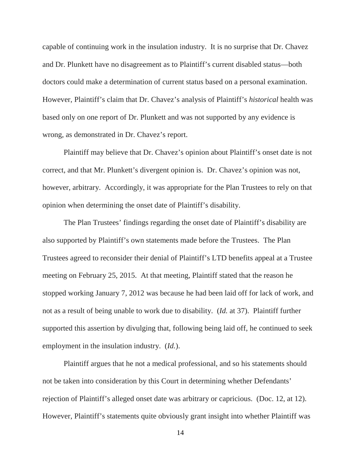capable of continuing work in the insulation industry. It is no surprise that Dr. Chavez and Dr. Plunkett have no disagreement as to Plaintiff's current disabled status—both doctors could make a determination of current status based on a personal examination. However, Plaintiff's claim that Dr. Chavez's analysis of Plaintiff's *historical* health was based only on one report of Dr. Plunkett and was not supported by any evidence is wrong, as demonstrated in Dr. Chavez's report.

 Plaintiff may believe that Dr. Chavez's opinion about Plaintiff's onset date is not correct, and that Mr. Plunkett's divergent opinion is. Dr. Chavez's opinion was not, however, arbitrary. Accordingly, it was appropriate for the Plan Trustees to rely on that opinion when determining the onset date of Plaintiff's disability.

 The Plan Trustees' findings regarding the onset date of Plaintiff's disability are also supported by Plaintiff's own statements made before the Trustees. The Plan Trustees agreed to reconsider their denial of Plaintiff's LTD benefits appeal at a Trustee meeting on February 25, 2015. At that meeting, Plaintiff stated that the reason he stopped working January 7, 2012 was because he had been laid off for lack of work, and not as a result of being unable to work due to disability. (*Id.* at 37). Plaintiff further supported this assertion by divulging that, following being laid off, he continued to seek employment in the insulation industry. (*Id.*).

 Plaintiff argues that he not a medical professional, and so his statements should not be taken into consideration by this Court in determining whether Defendants' rejection of Plaintiff's alleged onset date was arbitrary or capricious. (Doc. 12, at 12). However, Plaintiff's statements quite obviously grant insight into whether Plaintiff was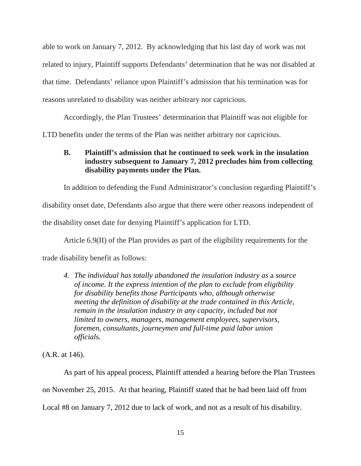able to work on January 7, 2012. By acknowledging that his last day of work was not related to injury, Plaintiff supports Defendants' determination that he was not disabled at that time. Defendants' reliance upon Plaintiff's admission that his termination was for reasons unrelated to disability was neither arbitrary nor capricious.

 Accordingly, the Plan Trustees' determination that Plaintiff was not eligible for LTD benefits under the terms of the Plan was neither arbitrary nor capricious.

# **B. Plaintiff's admission that he continued to seek work in the insulation industry subsequent to January 7, 2012 precludes him from collecting disability payments under the Plan.**

In addition to defending the Fund Administrator's conclusion regarding Plaintiff's disability onset date, Defendants also argue that there were other reasons independent of the disability onset date for denying Plaintiff's application for LTD.

 Article 6.9(II) of the Plan provides as part of the eligibility requirements for the trade disability benefit as follows:

*4. The individual has totally abandoned the insulation industry as* a *source of income. It the express intention of the plan to exclude from eligibility for disability benefits those Participants who, although otherwise meeting the definition of disability at the trade contained in this Article, remain in the insulation industry in any capacity, included but not limited to owners, managers, management employees, supervisors, foremen, consultants, journeymen and full-time paid labor union officials.* 

(A.R. at 146).

 As part of his appeal process, Plaintiff attended a hearing before the Plan Trustees on November 25, 2015. At that hearing, Plaintiff stated that he had been laid off from Local #8 on January 7, 2012 due to lack of work, and not as a result of his disability.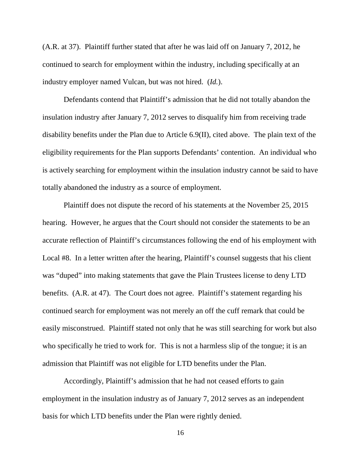(A.R. at 37). Plaintiff further stated that after he was laid off on January 7, 2012, he continued to search for employment within the industry, including specifically at an industry employer named Vulcan, but was not hired. (*Id.*).

 Defendants contend that Plaintiff's admission that he did not totally abandon the insulation industry after January 7, 2012 serves to disqualify him from receiving trade disability benefits under the Plan due to Article 6.9(II), cited above. The plain text of the eligibility requirements for the Plan supports Defendants' contention. An individual who is actively searching for employment within the insulation industry cannot be said to have totally abandoned the industry as a source of employment.

 Plaintiff does not dispute the record of his statements at the November 25, 2015 hearing. However, he argues that the Court should not consider the statements to be an accurate reflection of Plaintiff's circumstances following the end of his employment with Local #8. In a letter written after the hearing, Plaintiff's counsel suggests that his client was "duped" into making statements that gave the Plain Trustees license to deny LTD benefits. (A.R. at 47). The Court does not agree. Plaintiff's statement regarding his continued search for employment was not merely an off the cuff remark that could be easily misconstrued. Plaintiff stated not only that he was still searching for work but also who specifically he tried to work for. This is not a harmless slip of the tongue; it is an admission that Plaintiff was not eligible for LTD benefits under the Plan.

 Accordingly, Plaintiff's admission that he had not ceased efforts to gain employment in the insulation industry as of January 7, 2012 serves as an independent basis for which LTD benefits under the Plan were rightly denied.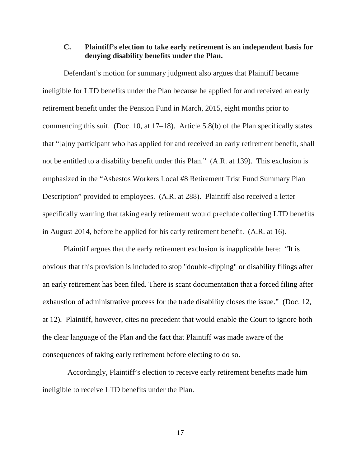## **C. Plaintiff's election to take early retirement is an independent basis for denying disability benefits under the Plan.**

Defendant's motion for summary judgment also argues that Plaintiff became ineligible for LTD benefits under the Plan because he applied for and received an early retirement benefit under the Pension Fund in March, 2015, eight months prior to commencing this suit. (Doc. 10, at 17–18). Article 5.8(b) of the Plan specifically states that "[a]ny participant who has applied for and received an early retirement benefit, shall not be entitled to a disability benefit under this Plan." (A.R. at 139). This exclusion is emphasized in the "Asbestos Workers Local #8 Retirement Trist Fund Summary Plan Description" provided to employees. (A.R. at 288). Plaintiff also received a letter specifically warning that taking early retirement would preclude collecting LTD benefits in August 2014, before he applied for his early retirement benefit. (A.R. at 16).

 Plaintiff argues that the early retirement exclusion is inapplicable here: "It is obvious that this provision is included to stop "double-dipping" or disability filings after an early retirement has been filed. There is scant documentation that a forced filing after exhaustion of administrative process for the trade disability closes the issue." (Doc. 12, at 12). Plaintiff, however, cites no precedent that would enable the Court to ignore both the clear language of the Plan and the fact that Plaintiff was made aware of the consequences of taking early retirement before electing to do so.

 Accordingly, Plaintiff's election to receive early retirement benefits made him ineligible to receive LTD benefits under the Plan.